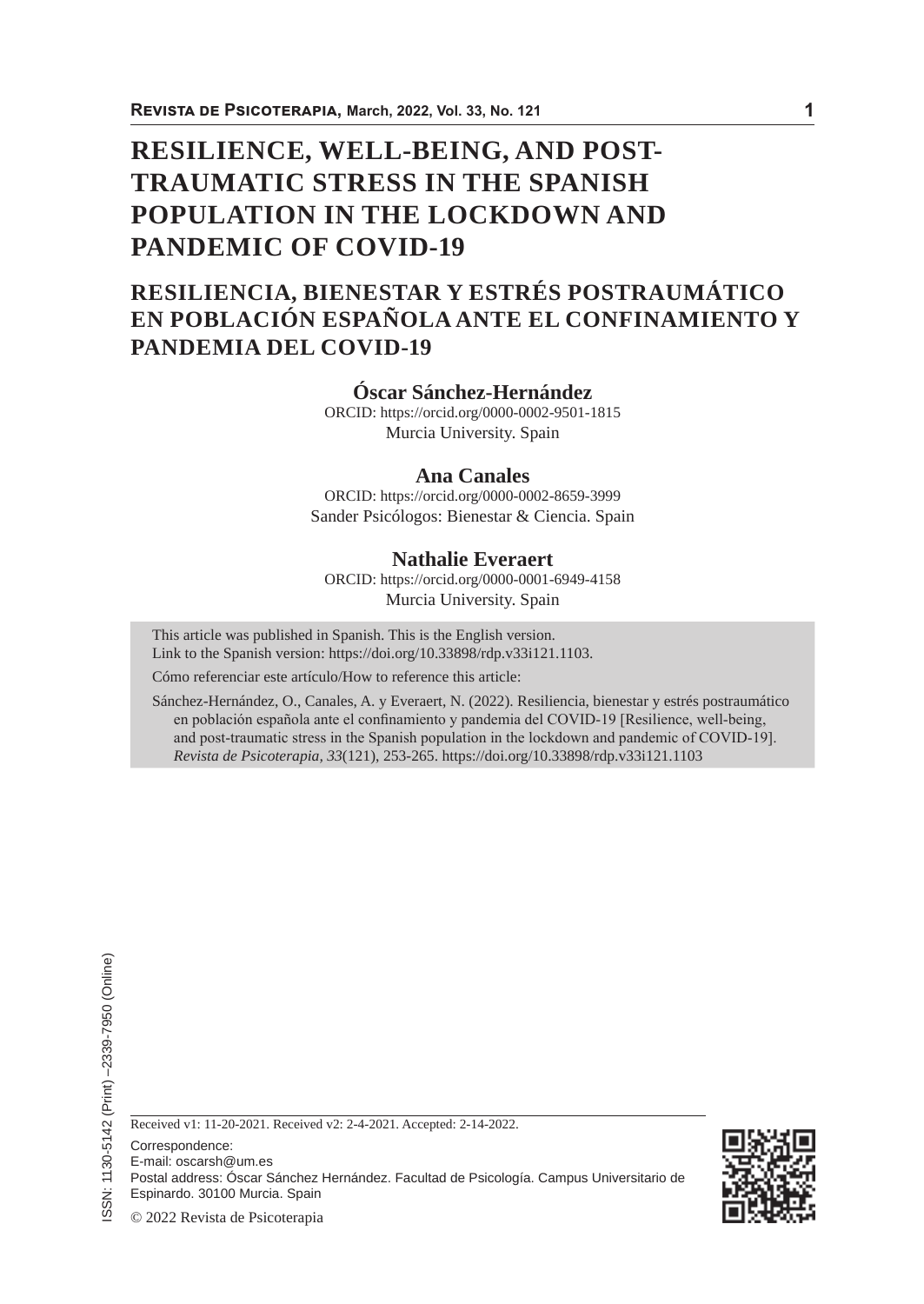# **RESILIENCE, WELL-BEING, AND POST-TRAUMATIC STRESS IN THE SPANISH POPULATION IN THE LOCKDOWN AND PANDEMIC OF COVID-19**

# **RESILIENCIA, BIENESTAR Y ESTRÉS POSTRAUMÁTICO EN POBLACIÓN ESPAÑOLA ANTE EL CONFINAMIENTO Y PANDEMIA DEL COVID-19**

### **Óscar Sánchez-Hernández**

ORCID: https://orcid.org/0000-0002-9501-1815 Murcia University. Spain

### **Ana Canales**

ORCID: https://orcid.org/0000-0002-8659-3999 Sander Psicólogos: Bienestar & Ciencia. Spain

# **Nathalie Everaert**

ORCID: https://orcid.org/0000-0001-6949-4158 Murcia University. Spain

This article was published in Spanish. This is the English version. Link to the Spanish version: https://doi.org/10.33898/rdp.v33i121.1103.

Cómo referenciar este artículo/How to reference this article:

Sánchez-Hernández, O., Canales, A. y Everaert, N. (2022). Resiliencia, bienestar y estrés postraumático en población española ante el confinamiento y pandemia del COVID-19 [Resilience, well-being, and post-traumatic stress in the Spanish population in the lockdown and pandemic of COVID-19]. *Revista de Psicoterapia, 33*(121), 253-265. https://doi.org/10.33898/rdp.v33i121.1103

Received v1: 11-20-2021. Received v2: 2-4-2021. Accepted: 2-14-2022.

Correspondence:

E-mail: oscarsh@um.es

Postal address: Óscar Sánchez Hernández. Facultad de Psicología. Campus Universitario de

Espinardo. 30100 Murcia. Spain

© 2022 Revista de Psicoterapia

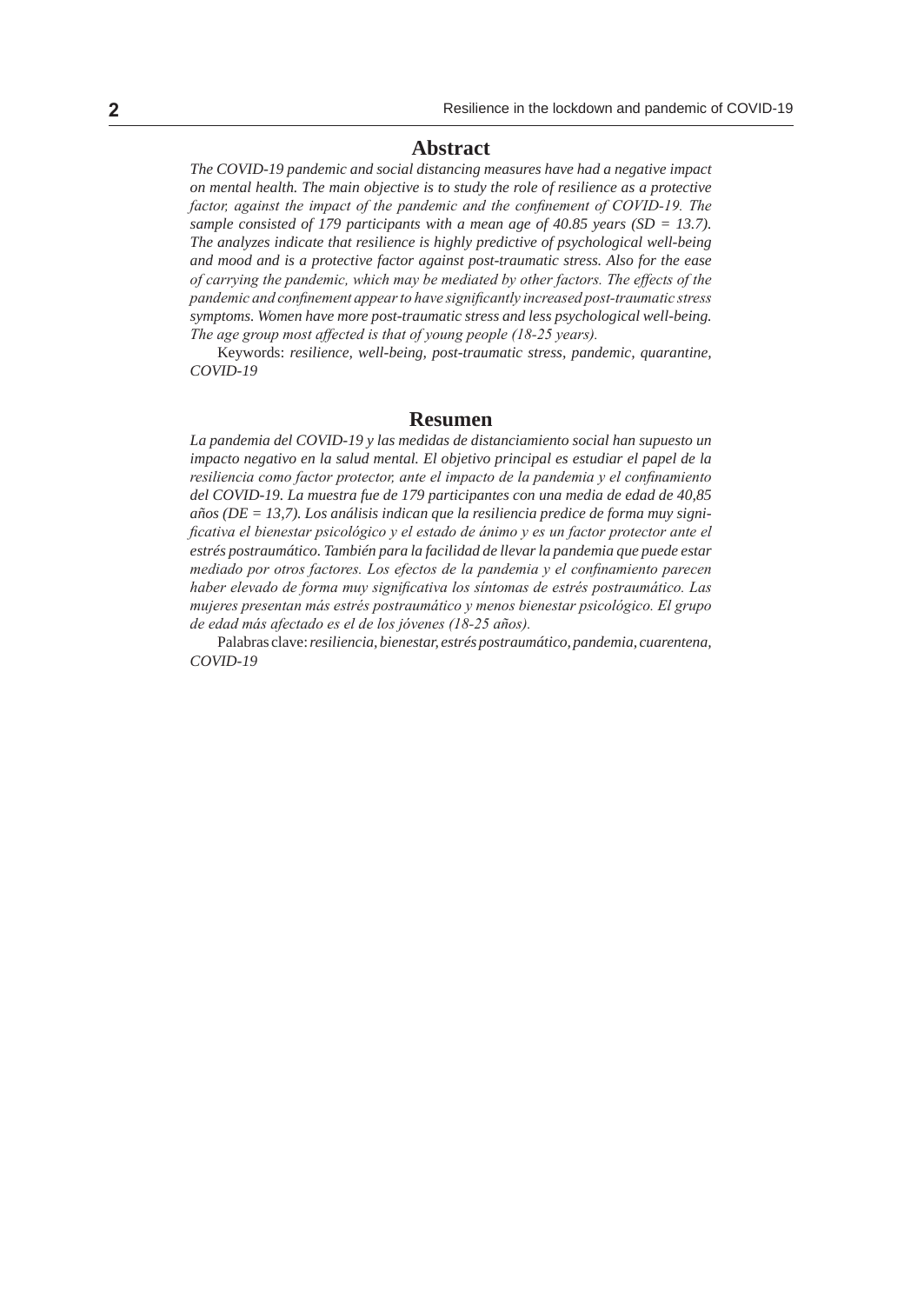#### **Abstract**

*The COVID-19 pandemic and social distancing measures have had a negative impact on mental health. The main objective is to study the role of resilience as a protective*  factor, against the impact of the pandemic and the confinement of COVID-19. The sample consisted of 179 participants with a mean age of 40.85 years (SD = 13.7). *The analyzes indicate that resilience is highly predictive of psychological well-being and mood and is a protective factor against post-traumatic stress. Also for the ease of carrying the pandemic, which may be mediated by other factors. The effects of the pandemic and confinement appear to have significantly increased post-traumatic stress symptoms. Women have more post-traumatic stress and less psychological well-being. The age group most affected is that of young people (18-25 years).*

Keywords: *resilience, well-being, post-traumatic stress, pandemic, quarantine, COVID-19*

#### **Resumen**

*La pandemia del COVID-19 y las medidas de distanciamiento social han supuesto un impacto negativo en la salud mental. El objetivo principal es estudiar el papel de la resiliencia como factor protector, ante el impacto de la pandemia y el confinamiento del COVID-19. La muestra fue de 179 participantes con una media de edad de 40,85 años (DE = 13,7). Los análisis indican que la resiliencia predice de forma muy significativa el bienestar psicológico y el estado de ánimo y es un factor protector ante el estrés postraumático. También para la facilidad de llevar la pandemia que puede estar mediado por otros factores. Los efectos de la pandemia y el confinamiento parecen haber elevado de forma muy significativa los síntomas de estrés postraumático. Las mujeres presentan más estrés postraumático y menos bienestar psicológico. El grupo de edad más afectado es el de los jóvenes (18-25 años).*

Palabras clave:*resiliencia, bienestar, estrés postraumático, pandemia, cuarentena, COVID-19*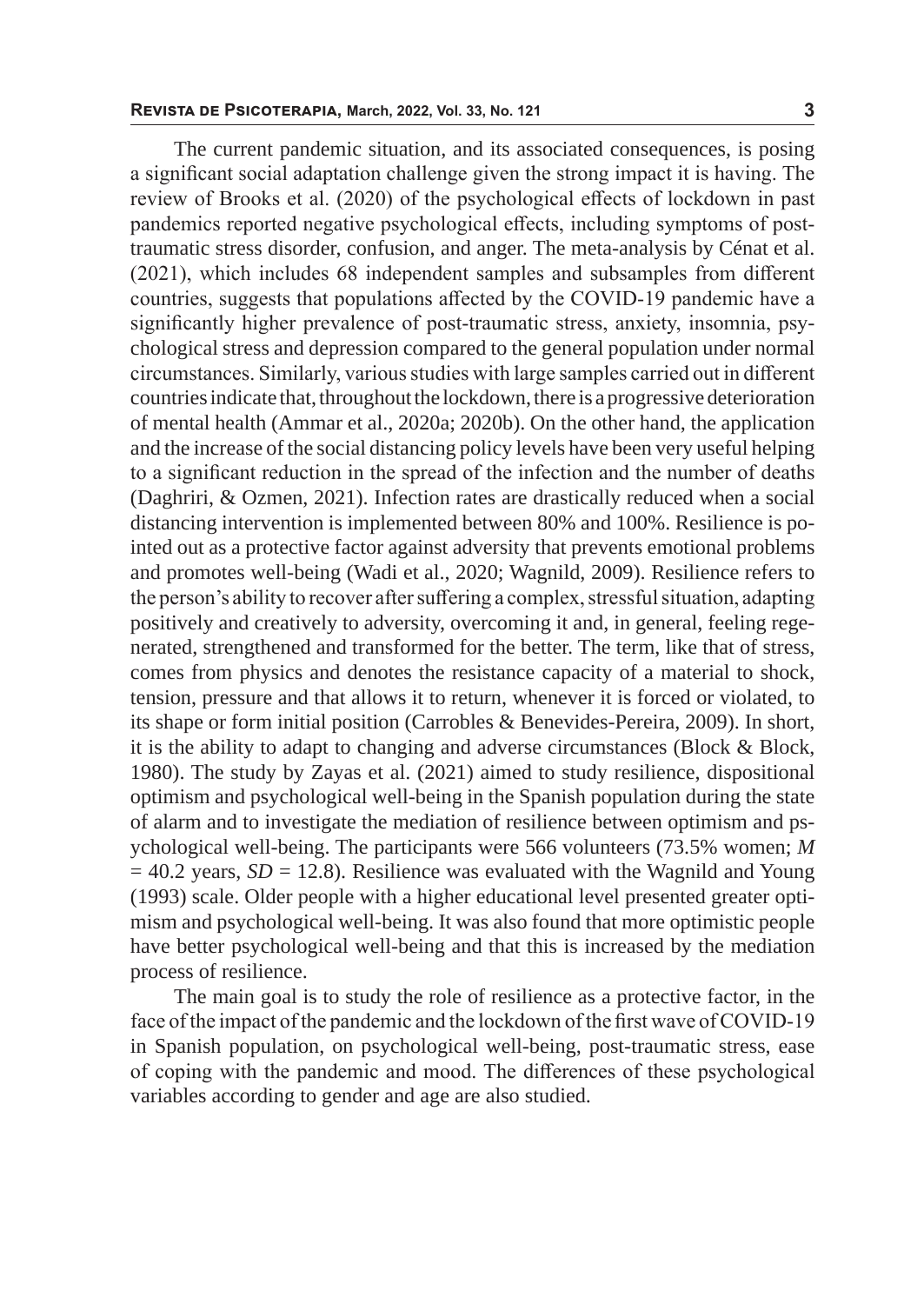The current pandemic situation, and its associated consequences, is posing a significant social adaptation challenge given the strong impact it is having. The review of Brooks et al. (2020) of the psychological effects of lockdown in past pandemics reported negative psychological effects, including symptoms of posttraumatic stress disorder, confusion, and anger. The meta-analysis by Cénat et al. (2021), which includes 68 independent samples and subsamples from different countries, suggests that populations affected by the COVID-19 pandemic have a significantly higher prevalence of post-traumatic stress, anxiety, insomnia, psychological stress and depression compared to the general population under normal circumstances. Similarly, various studies with large samples carried out in different countries indicate that, throughout the lockdown, there is a progressive deterioration of mental health (Ammar et al., 2020a; 2020b). On the other hand, the application and the increase of the social distancing policy levels have been very useful helping to a significant reduction in the spread of the infection and the number of deaths (Daghriri, & Ozmen, 2021). Infection rates are drastically reduced when a social distancing intervention is implemented between 80% and 100%. Resilience is pointed out as a protective factor against adversity that prevents emotional problems and promotes well-being (Wadi et al., 2020; Wagnild, 2009). Resilience refers to the person's ability to recover after suffering a complex, stressful situation, adapting positively and creatively to adversity, overcoming it and, in general, feeling regenerated, strengthened and transformed for the better. The term, like that of stress, comes from physics and denotes the resistance capacity of a material to shock, tension, pressure and that allows it to return, whenever it is forced or violated, to its shape or form initial position (Carrobles & Benevides-Pereira, 2009). In short, it is the ability to adapt to changing and adverse circumstances (Block & Block, 1980). The study by Zayas et al. (2021) aimed to study resilience, dispositional optimism and psychological well-being in the Spanish population during the state of alarm and to investigate the mediation of resilience between optimism and psychological well-being. The participants were 566 volunteers (73.5% women; *M*  $= 40.2$  years,  $SD = 12.8$ ). Resilience was evaluated with the Wagnild and Young (1993) scale. Older people with a higher educational level presented greater optimism and psychological well-being. It was also found that more optimistic people have better psychological well-being and that this is increased by the mediation process of resilience.

The main goal is to study the role of resilience as a protective factor, in the face of the impact of the pandemic and the lockdown of the first wave of COVID-19 in Spanish population, on psychological well-being, post-traumatic stress, ease of coping with the pandemic and mood. The differences of these psychological variables according to gender and age are also studied.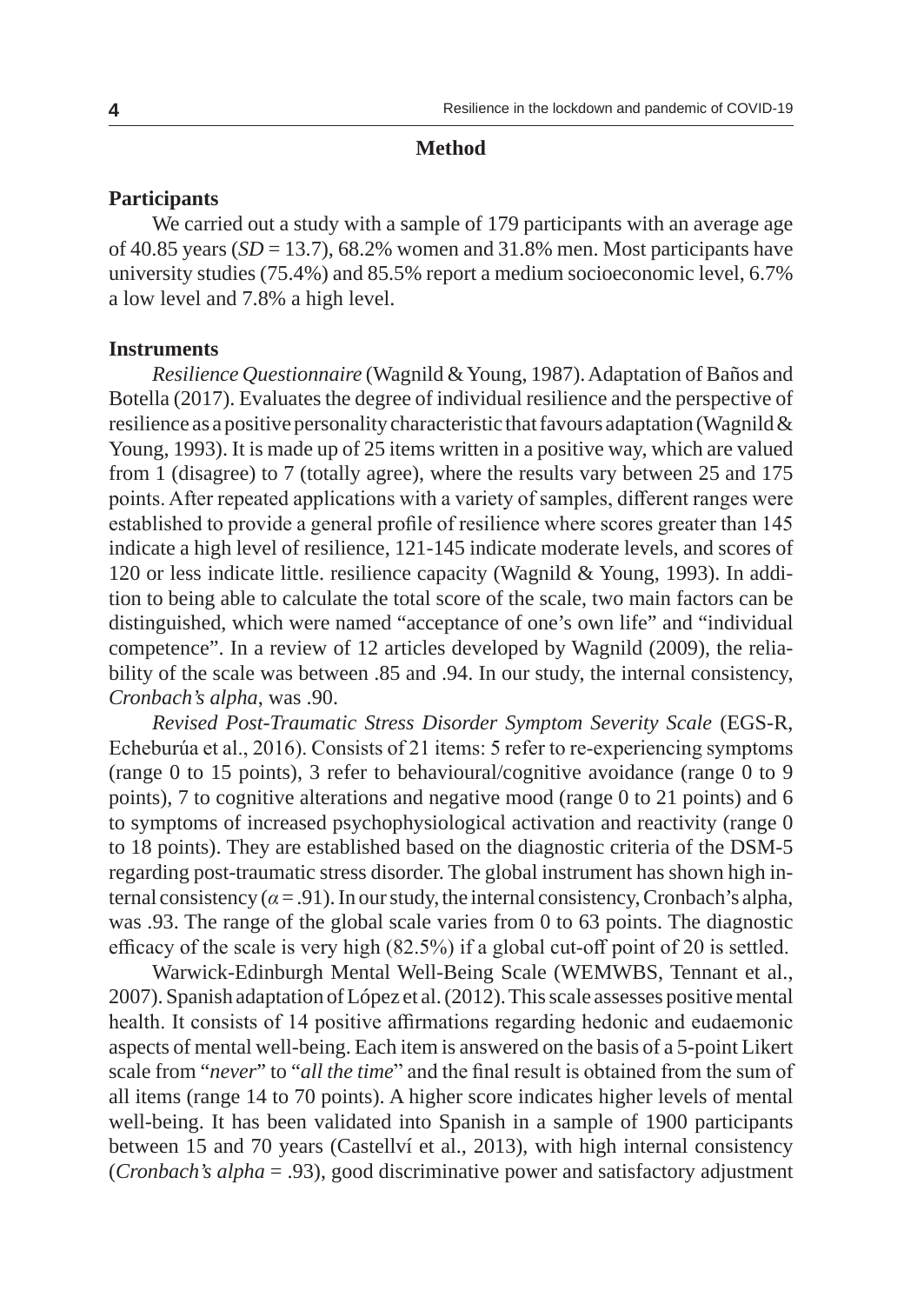#### **Method**

## **Participants**

We carried out a study with a sample of 179 participants with an average age of 40.85 years  $(SD = 13.7)$ , 68.2% women and 31.8% men. Most participants have university studies (75.4%) and 85.5% report a medium socioeconomic level, 6.7% a low level and 7.8% a high level.

# **Instruments**

*Resilience Questionnaire* (Wagnild & Young, 1987). Adaptation of Baños and Botella (2017). Evaluates the degree of individual resilience and the perspective of resilience as a positive personality characteristic that favours adaptation (Wagnild  $\&$ Young, 1993). It is made up of 25 items written in a positive way, which are valued from 1 (disagree) to 7 (totally agree), where the results vary between 25 and 175 points. After repeated applications with a variety of samples, different ranges were established to provide a general profile of resilience where scores greater than 145 indicate a high level of resilience, 121-145 indicate moderate levels, and scores of 120 or less indicate little. resilience capacity (Wagnild & Young, 1993). In addition to being able to calculate the total score of the scale, two main factors can be distinguished, which were named "acceptance of one's own life" and "individual competence". In a review of 12 articles developed by Wagnild (2009), the reliability of the scale was between .85 and .94. In our study, the internal consistency, *Cronbach's alpha*, was .90.

*Revised Post-Traumatic Stress Disorder Symptom Severity Scale* (EGS-R, Echeburúa et al., 2016). Consists of 21 items: 5 refer to re-experiencing symptoms (range 0 to 15 points), 3 refer to behavioural/cognitive avoidance (range 0 to 9 points), 7 to cognitive alterations and negative mood (range 0 to 21 points) and 6 to symptoms of increased psychophysiological activation and reactivity (range 0 to 18 points). They are established based on the diagnostic criteria of the DSM-5 regarding post-traumatic stress disorder. The global instrument has shown high internal consistency ( $\alpha$  = .91). In our study, the internal consistency, Cronbach's alpha, was .93. The range of the global scale varies from 0 to 63 points. The diagnostic efficacy of the scale is very high (82.5%) if a global cut-off point of 20 is settled.

Warwick-Edinburgh Mental Well-Being Scale (WEMWBS, Tennant et al., 2007). Spanish adaptation of López et al. (2012). This scale assesses positive mental health. It consists of 14 positive affirmations regarding hedonic and eudaemonic aspects of mental well-being. Each item is answered on the basis of a 5-point Likert scale from "*never*" to "*all the time*" and the final result is obtained from the sum of all items (range 14 to 70 points). A higher score indicates higher levels of mental well-being. It has been validated into Spanish in a sample of 1900 participants between 15 and 70 years (Castellví et al., 2013), with high internal consistency (*Cronbach's alpha* = .93), good discriminative power and satisfactory adjustment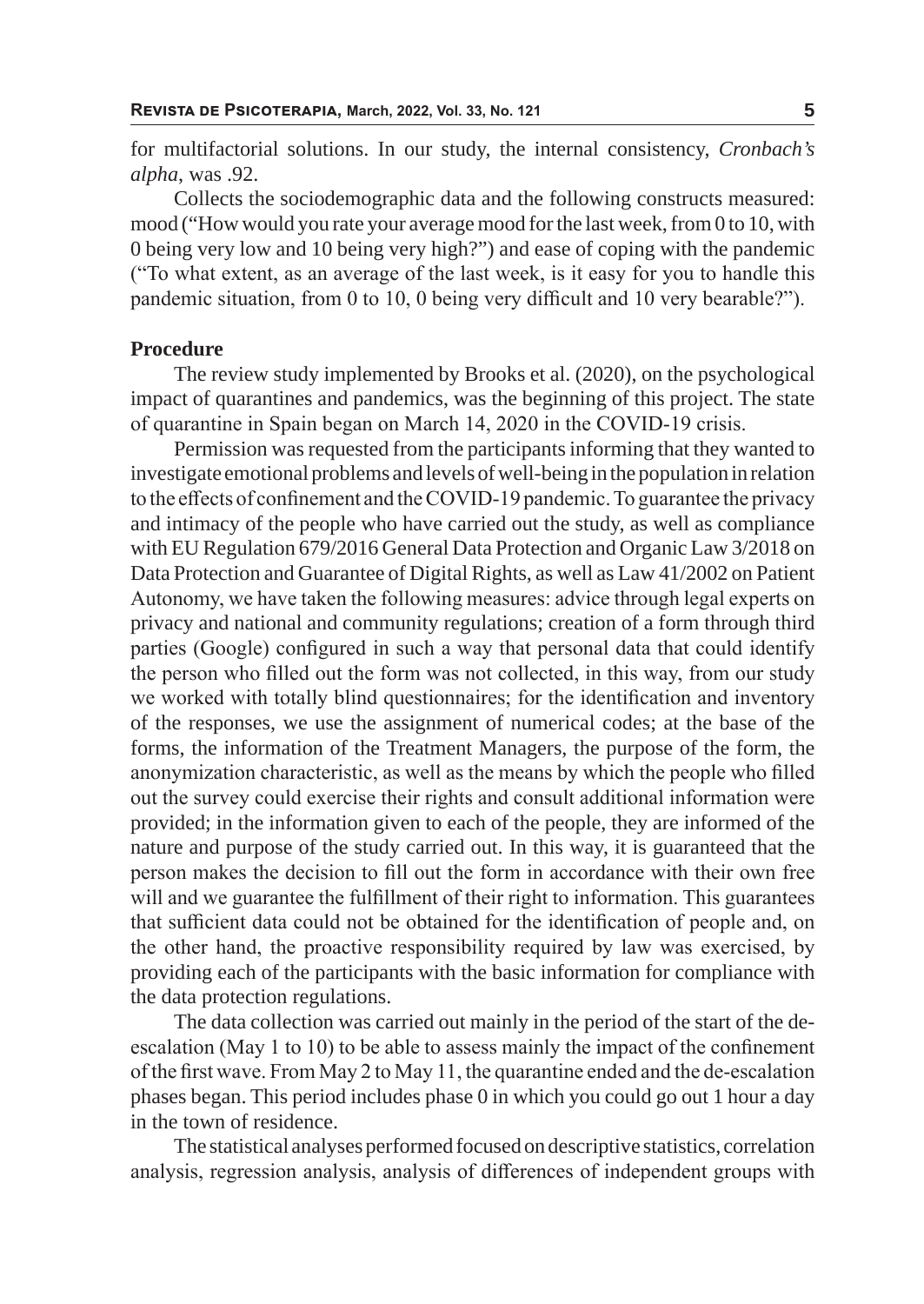for multifactorial solutions. In our study, the internal consistency, *Cronbach's alpha*, was .92.

Collects the sociodemographic data and the following constructs measured: mood ("How would you rate your average mood for the last week, from 0 to 10, with 0 being very low and 10 being very high?") and ease of coping with the pandemic ("To what extent, as an average of the last week, is it easy for you to handle this pandemic situation, from 0 to 10, 0 being very difficult and 10 very bearable?").

### **Procedure**

The review study implemented by Brooks et al. (2020), on the psychological impact of quarantines and pandemics, was the beginning of this project. The state of quarantine in Spain began on March 14, 2020 in the COVID-19 crisis.

Permission was requested from the participants informing that they wanted to investigate emotional problems and levels of well-being in the population in relation to the effects of confinement and the COVID-19 pandemic. To guarantee the privacy and intimacy of the people who have carried out the study, as well as compliance with EU Regulation 679/2016 General Data Protection and Organic Law 3/2018 on Data Protection and Guarantee of Digital Rights, as well as Law 41/2002 on Patient Autonomy, we have taken the following measures: advice through legal experts on privacy and national and community regulations; creation of a form through third parties (Google) configured in such a way that personal data that could identify the person who filled out the form was not collected, in this way, from our study we worked with totally blind questionnaires; for the identification and inventory of the responses, we use the assignment of numerical codes; at the base of the forms, the information of the Treatment Managers, the purpose of the form, the anonymization characteristic, as well as the means by which the people who filled out the survey could exercise their rights and consult additional information were provided; in the information given to each of the people, they are informed of the nature and purpose of the study carried out. In this way, it is guaranteed that the person makes the decision to fill out the form in accordance with their own free will and we guarantee the fulfillment of their right to information. This guarantees that sufficient data could not be obtained for the identification of people and, on the other hand, the proactive responsibility required by law was exercised, by providing each of the participants with the basic information for compliance with the data protection regulations.

The data collection was carried out mainly in the period of the start of the deescalation (May 1 to 10) to be able to assess mainly the impact of the confinement of the first wave. From May 2 to May 11, the quarantine ended and the de-escalation phases began. This period includes phase 0 in which you could go out 1 hour a day in the town of residence.

The statistical analyses performed focused on descriptive statistics, correlation analysis, regression analysis, analysis of differences of independent groups with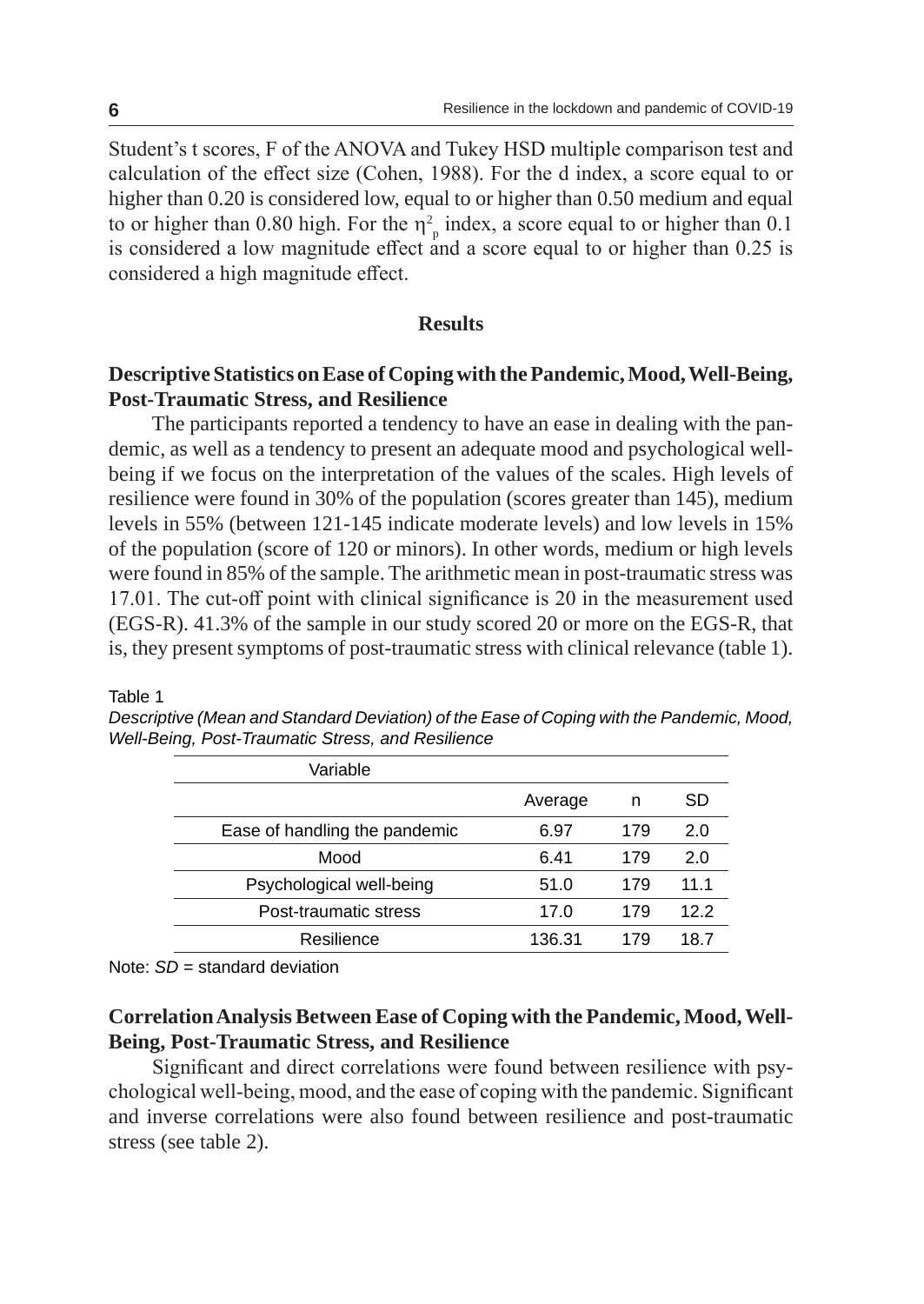Student's t scores, F of the ANOVA and Tukey HSD multiple comparison test and calculation of the effect size (Cohen, 1988). For the d index, a score equal to or higher than 0.20 is considered low, equal to or higher than 0.50 medium and equal to or higher than 0.80 high. For the  $\eta_p^2$  index, a score equal to or higher than 0.1 is considered a low magnitude effect and a score equal to or higher than 0.25 is considered a high magnitude effect.

# **Results**

# **Descriptive Statistics on Ease of Coping with the Pandemic, Mood, Well-Being, Post-Traumatic Stress, and Resilience**

The participants reported a tendency to have an ease in dealing with the pandemic, as well as a tendency to present an adequate mood and psychological wellbeing if we focus on the interpretation of the values of the scales. High levels of resilience were found in 30% of the population (scores greater than 145), medium levels in 55% (between 121-145 indicate moderate levels) and low levels in 15% of the population (score of 120 or minors). In other words, medium or high levels were found in 85% of the sample. The arithmetic mean in post-traumatic stress was 17.01. The cut-off point with clinical significance is 20 in the measurement used (EGS-R). 41.3% of the sample in our study scored 20 or more on the EGS-R, that is, they present symptoms of post-traumatic stress with clinical relevance (table 1).

| Variable                      |         |     |      |
|-------------------------------|---------|-----|------|
|                               | Average | n   | SD   |
| Ease of handling the pandemic | 6.97    | 179 | 2.0  |
| Mood                          | 6.41    | 179 | 2.0  |
| Psychological well-being      | 51.0    | 179 | 11.1 |
| Post-traumatic stress         | 17.0    | 179 | 12.2 |
| Resilience                    | 136.31  | 179 | 18.7 |
|                               |         |     |      |

*Descriptive (Mean and Standard Deviation) of the Ease of Coping with the Pandemic, Mood, Well-Being, Post-Traumatic Stress, and Resilience*

Note: *SD* = standard deviation

# **Correlation Analysis Between Ease of Coping with the Pandemic, Mood, Well-Being, Post-Traumatic Stress, and Resilience**

Significant and direct correlations were found between resilience with psychological well-being, mood, and the ease of coping with the pandemic. Significant and inverse correlations were also found between resilience and post-traumatic stress (see table 2).

Table 1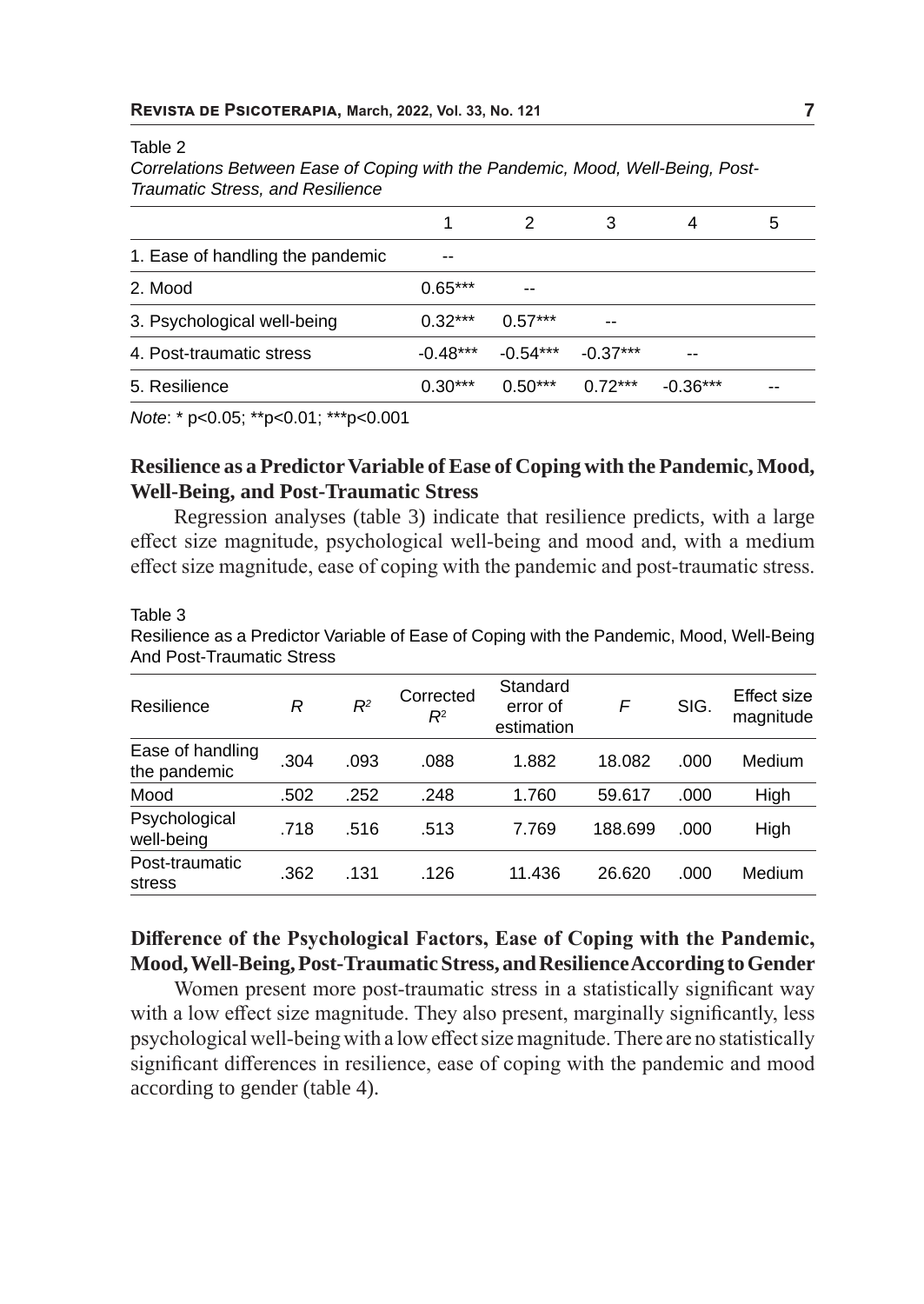#### Table 2

*Correlations Between Ease of Coping with the Pandemic, Mood, Well-Being, Post-Traumatic Stress, and Resilience*

| --         |    |
|------------|----|
| $-0.36***$ | -- |
|            |    |

*Note*: \* p<0.05; \*\*p<0.01; \*\*\*p<0.001

# **Resilience as a Predictor Variable of Ease of Coping with the Pandemic, Mood, Well-Being, and Post-Traumatic Stress**

Regression analyses (table 3) indicate that resilience predicts, with a large effect size magnitude, psychological well-being and mood and, with a medium effect size magnitude, ease of coping with the pandemic and post-traumatic stress.

Table 3

Resilience as a Predictor Variable of Ease of Coping with the Pandemic, Mood, Well-Being And Post-Traumatic Stress

| Resilience                       | R    | $R^2$ | Corrected<br>$R^2$ | Standard<br>error of<br>estimation | F       | SIG. | Effect size<br>magnitude |
|----------------------------------|------|-------|--------------------|------------------------------------|---------|------|--------------------------|
| Ease of handling<br>the pandemic | .304 | .093  | .088               | 1.882                              | 18.082  | .000 | Medium                   |
| Mood                             | .502 | .252  | .248               | 1.760                              | 59.617  | .000 | High                     |
| Psychological<br>well-being      | .718 | .516  | .513               | 7.769                              | 188.699 | .000 | High                     |
| Post-traumatic<br>stress         | .362 | .131  | .126               | 11.436                             | 26.620  | .000 | Medium                   |

# **Difference of the Psychological Factors, Ease of Coping with the Pandemic, Mood, Well-Being, Post-Traumatic Stress, and Resilience According to Gender**

Women present more post-traumatic stress in a statistically significant way with a low effect size magnitude. They also present, marginally significantly, less psychological well-being with a low effect size magnitude. There are no statistically significant differences in resilience, ease of coping with the pandemic and mood according to gender (table 4).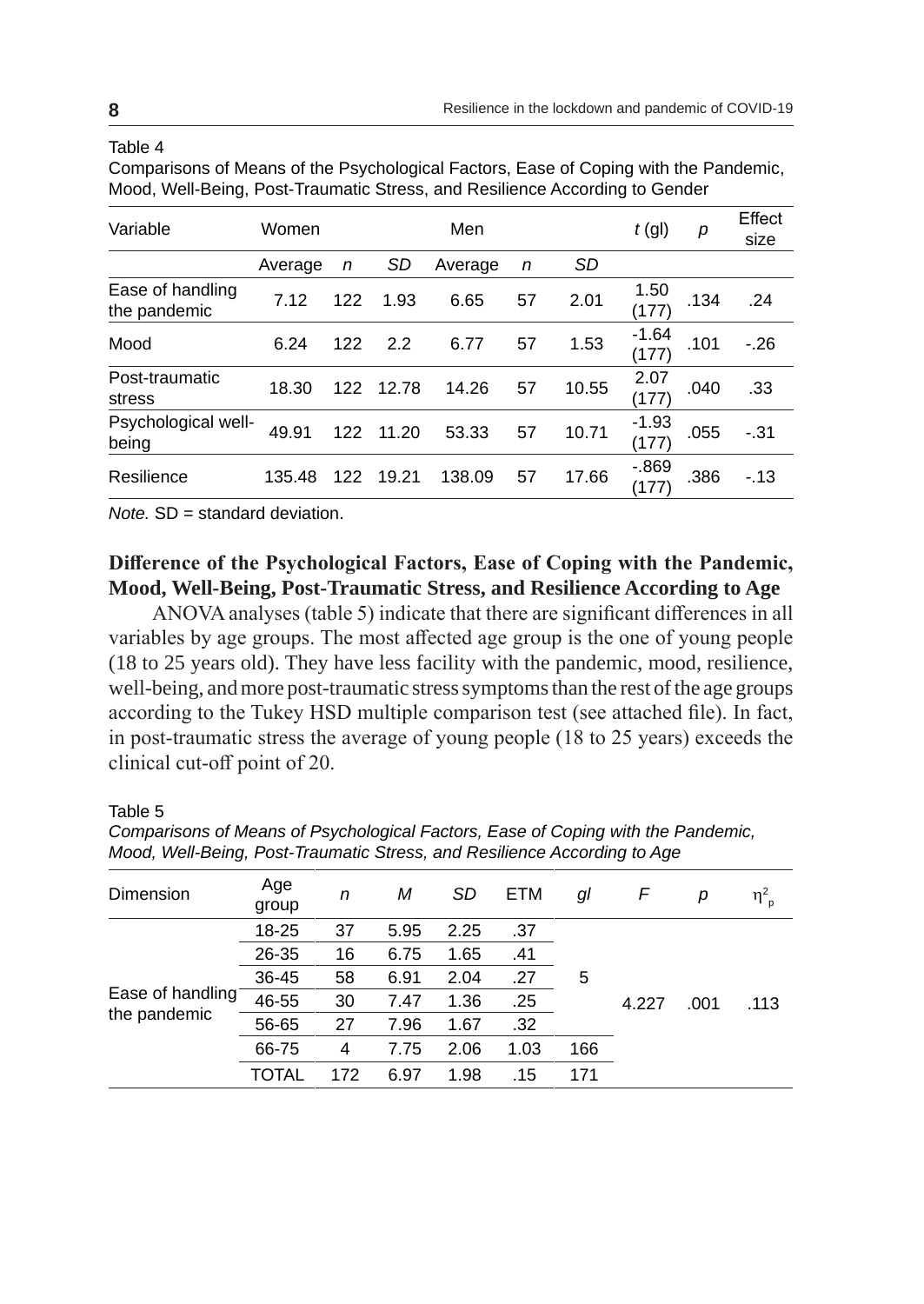## Table 4

| Comparisons of Means of the Psychological Factors, Ease of Coping with the Pandemic, |
|--------------------------------------------------------------------------------------|
| Mood, Well-Being, Post-Traumatic Stress, and Resilience According to Gender          |

| Variable                         | Women   |     |       | Men     | $t$ (gl) | р         | <b>Fffect</b><br>size |      |        |
|----------------------------------|---------|-----|-------|---------|----------|-----------|-----------------------|------|--------|
|                                  | Average | n   | SD    | Average | n        | <b>SD</b> |                       |      |        |
| Ease of handling<br>the pandemic | 7.12    | 122 | 1.93  | 6.65    | 57       | 2.01      | 1.50<br>(177)         | .134 | .24    |
| Mood                             | 6.24    | 122 | 2.2   | 6.77    | 57       | 1.53      | $-1.64$<br>(177)      | .101 | $-.26$ |
| Post-traumatic<br>stress         | 18.30   | 122 | 12.78 | 14.26   | 57       | 10.55     | 2.07<br>(177)         | .040 | .33    |
| Psychological well-<br>being     | 49.91   | 122 | 11.20 | 53.33   | 57       | 10.71     | $-1.93$<br>(177)      | .055 | $-.31$ |
| Resilience                       | 135.48  | 122 | 19.21 | 138.09  | 57       | 17.66     | $-0.869$<br>(177)     | .386 | $-13$  |

*Note.* SD = standard deviation.

# **Difference of the Psychological Factors, Ease of Coping with the Pandemic, Mood, Well-Being, Post-Traumatic Stress, and Resilience According to Age**

ANOVA analyses (table 5) indicate that there are significant differences in all variables by age groups. The most affected age group is the one of young people (18 to 25 years old). They have less facility with the pandemic, mood, resilience, well-being, and more post-traumatic stress symptoms than the rest of the age groups according to the Tukey HSD multiple comparison test (see attached file). In fact, in post-traumatic stress the average of young people (18 to 25 years) exceeds the clinical cut-off point of 20.

# Table 5

*Comparisons of Means of Psychological Factors, Ease of Coping with the Pandemic, Mood, Well-Being, Post-Traumatic Stress, and Resilience According to Age*

| Dimension                        | Age<br>group | n   | М    | SD   | ETM  | gl  | F     | р    | $\eta_{\; \rho}^2$ |
|----------------------------------|--------------|-----|------|------|------|-----|-------|------|--------------------|
| Ease of handling<br>the pandemic | 18-25        | 37  | 5.95 | 2.25 | .37  |     |       |      |                    |
|                                  | 26-35        | 16  | 6.75 | 1.65 | .41  |     |       |      |                    |
|                                  | 36-45        | 58  | 6.91 | 2.04 | .27  | 5   | 4.227 | .001 | .113               |
|                                  | 46-55        | 30  | 7.47 | 1.36 | .25  |     |       |      |                    |
|                                  | 56-65        | 27  | 7.96 | 1.67 | .32  |     |       |      |                    |
|                                  | 66-75        | 4   | 7.75 | 2.06 | 1.03 | 166 |       |      |                    |
|                                  | <b>TOTAL</b> | 172 | 6.97 | 1.98 | .15  | 171 |       |      |                    |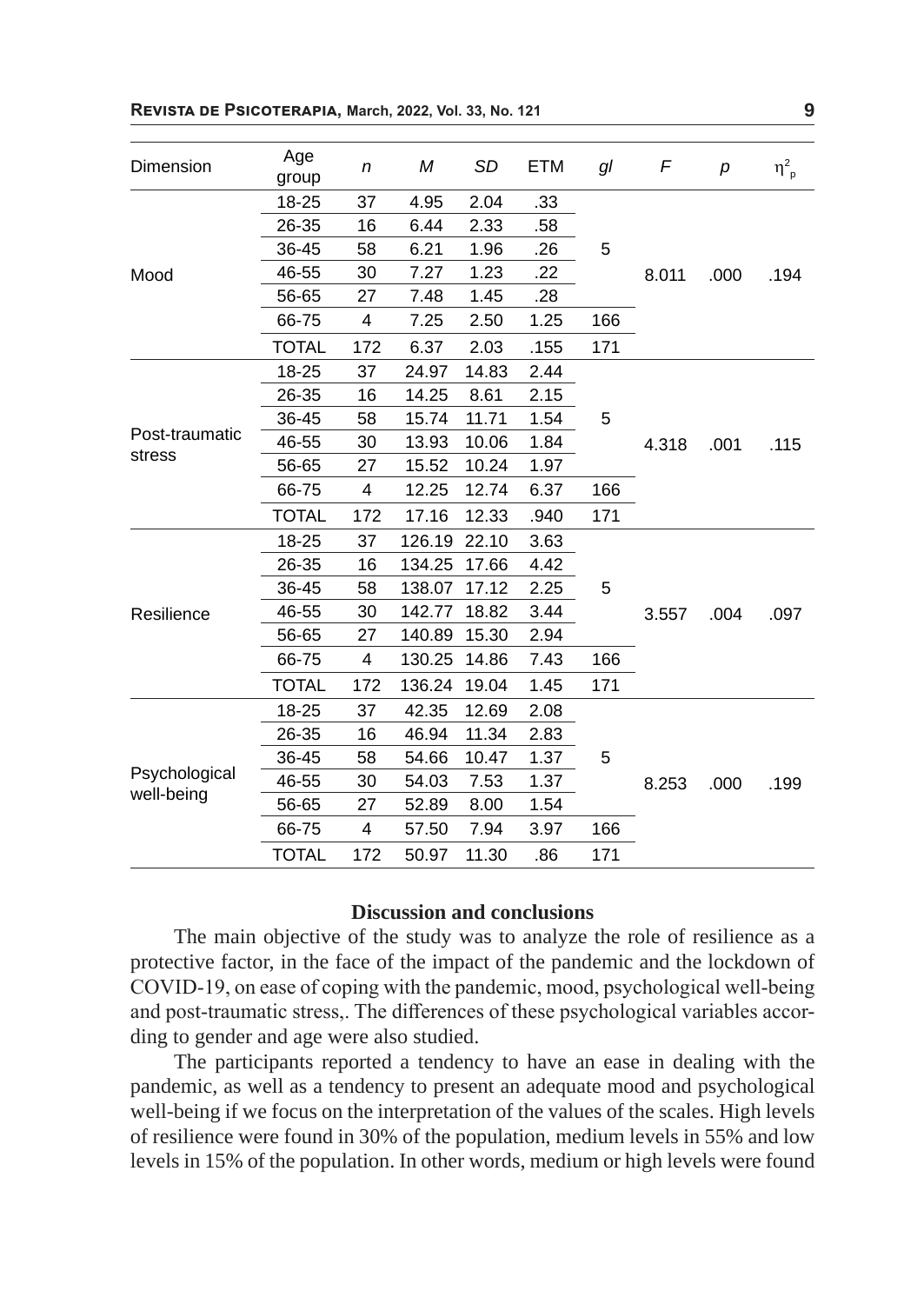| Dimension                   | Age<br>group | n   | M      | <b>SD</b> | <b>ETM</b> | gl  | F                   | p    | $\eta_{p}^{2}$ |
|-----------------------------|--------------|-----|--------|-----------|------------|-----|---------------------|------|----------------|
|                             | 18-25        | 37  | 4.95   | 2.04      | .33        |     |                     | .000 | .194           |
|                             | 26-35        | 16  | 6.44   | 2.33      | .58        |     |                     |      |                |
|                             | 36-45        | 58  | 6.21   | 1.96      | .26        | 5   |                     |      |                |
| Mood                        | 46-55        | 30  | 7.27   | 1.23      | .22        |     | 8.011               |      |                |
|                             | 56-65        | 27  | 7.48   | 1.45      | .28        |     |                     |      |                |
|                             | 66-75        | 4   | 7.25   | 2.50      | 1.25       | 166 |                     |      |                |
|                             | TOTAL        | 172 | 6.37   | 2.03      | .155       | 171 |                     |      |                |
|                             | 18-25        | 37  | 24.97  | 14.83     | 2.44       |     |                     | .001 |                |
|                             | 26-35        | 16  | 14.25  | 8.61      | 2.15       |     |                     |      | .115           |
|                             | 36-45        | 58  | 15.74  | 11.71     | 1.54       | 5   |                     |      |                |
| Post-traumatic              | 46-55        | 30  | 13.93  | 10.06     | 1.84       |     | 4.318               |      |                |
| stress                      | 56-65        | 27  | 15.52  | 10.24     | 1.97       |     |                     |      |                |
|                             | 66-75        | 4   | 12.25  | 12.74     | 6.37       | 166 |                     |      |                |
|                             | <b>TOTAL</b> | 172 | 17.16  | 12.33     | .940       | 171 |                     |      |                |
|                             | 18-25        | 37  | 126.19 | 22.10     | 3.63       |     |                     | .004 | .097           |
|                             | 26-35        | 16  | 134.25 | 17.66     | 4.42       |     |                     |      |                |
|                             | 36-45        | 58  | 138.07 | 17.12     | 2.25       | 5   |                     |      |                |
| Resilience                  | 46-55        | 30  | 142.77 | 18.82     | 3.44       |     | 3.557               |      |                |
|                             | 56-65        | 27  | 140.89 | 15.30     | 2.94       |     |                     |      |                |
|                             | 66-75        | 4   | 130.25 | 14.86     | 7.43       | 166 |                     |      |                |
|                             | <b>TOTAL</b> | 172 | 136.24 | 19.04     | 1.45       | 171 |                     |      |                |
|                             | 18-25        | 37  | 42.35  | 12.69     | 2.08       |     |                     |      |                |
| Psychological<br>well-being | 26-35        | 16  | 46.94  | 11.34     | 2.83       |     |                     |      |                |
|                             | 36-45        | 58  | 54.66  | 10.47     | 1.37       | 5   |                     |      |                |
|                             | 46-55        | 30  | 54.03  | 7.53      | 1.37       |     | 8.253<br>166<br>171 | .000 | .199           |
|                             | 56-65        | 27  | 52.89  | 8.00      | 1.54       |     |                     |      |                |
|                             | 66-75        | 4   | 57.50  | 7.94      | 3.97       |     |                     |      |                |
|                             | <b>TOTAL</b> | 172 | 50.97  | 11.30     | .86        |     |                     |      |                |

# **Discussion and conclusions**

The main objective of the study was to analyze the role of resilience as a protective factor, in the face of the impact of the pandemic and the lockdown of COVID-19, on ease of coping with the pandemic, mood, psychological well-being and post-traumatic stress,. The differences of these psychological variables according to gender and age were also studied.

The participants reported a tendency to have an ease in dealing with the pandemic, as well as a tendency to present an adequate mood and psychological well-being if we focus on the interpretation of the values of the scales. High levels of resilience were found in 30% of the population, medium levels in 55% and low levels in 15% of the population. In other words, medium or high levels were found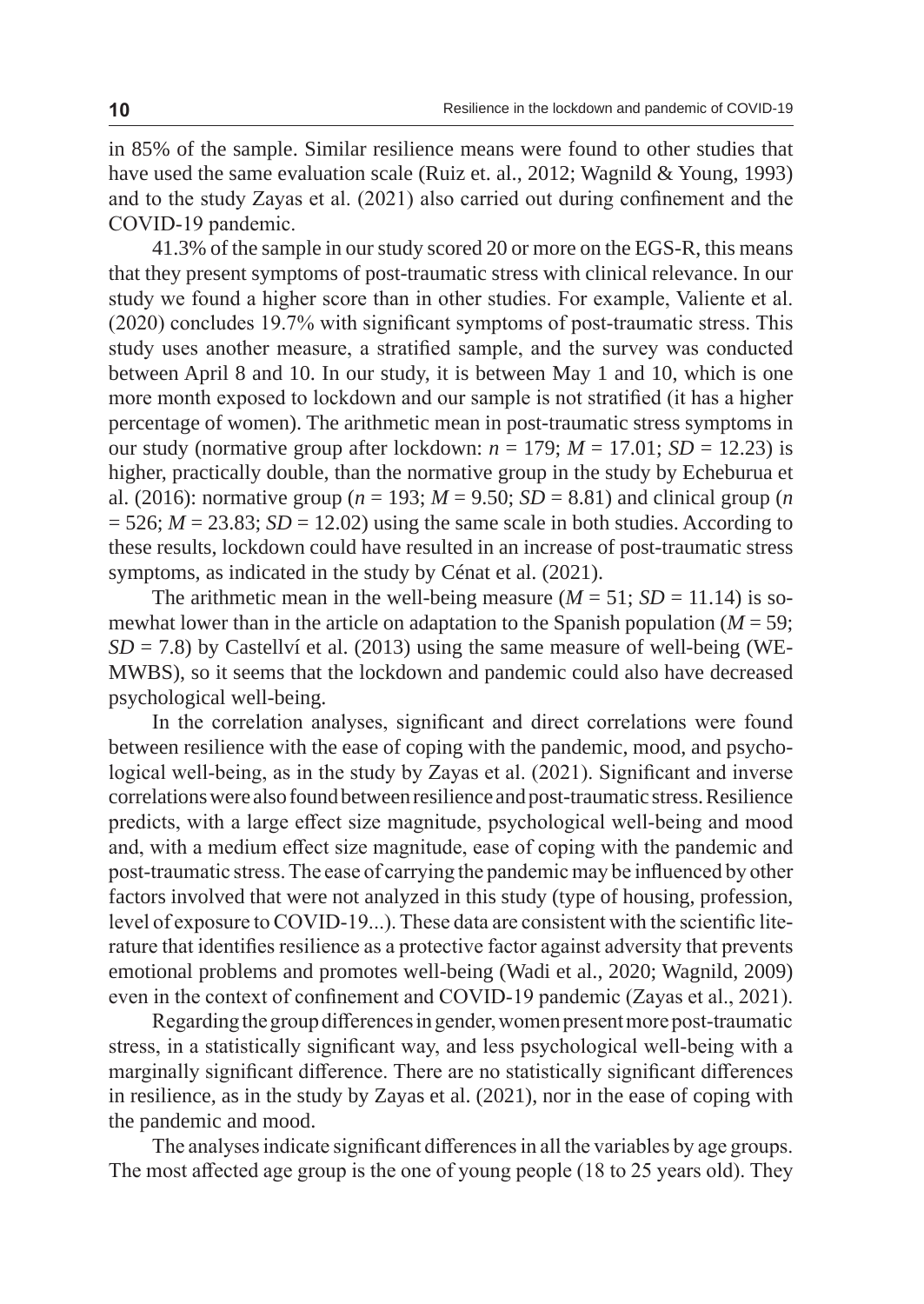in 85% of the sample. Similar resilience means were found to other studies that have used the same evaluation scale (Ruiz et. al., 2012; Wagnild & Young, 1993) and to the study Zayas et al. (2021) also carried out during confinement and the COVID-19 pandemic.

41.3% of the sample in our study scored 20 or more on the EGS-R, this means that they present symptoms of post-traumatic stress with clinical relevance. In our study we found a higher score than in other studies. For example, Valiente et al. (2020) concludes 19.7% with significant symptoms of post-traumatic stress. This study uses another measure, a stratified sample, and the survey was conducted between April 8 and 10. In our study, it is between May 1 and 10, which is one more month exposed to lockdown and our sample is not stratified (it has a higher percentage of women). The arithmetic mean in post-traumatic stress symptoms in our study (normative group after lockdown:  $n = 179$ ;  $M = 17.01$ ;  $SD = 12.23$ ) is higher, practically double, than the normative group in the study by Echeburua et al. (2016): normative group ( $n = 193$ ;  $M = 9.50$ ;  $SD = 8.81$ ) and clinical group (*n*  $= 526$ ;  $M = 23.83$ ;  $SD = 12.02$ ) using the same scale in both studies. According to these results, lockdown could have resulted in an increase of post-traumatic stress symptoms, as indicated in the study by Cénat et al. (2021).

The arithmetic mean in the well-being measure  $(M = 51; SD = 11.14)$  is somewhat lower than in the article on adaptation to the Spanish population  $(M = 59)$ ;  $SD = 7.8$ ) by Castellví et al. (2013) using the same measure of well-being (WE-MWBS), so it seems that the lockdown and pandemic could also have decreased psychological well-being.

In the correlation analyses, significant and direct correlations were found between resilience with the ease of coping with the pandemic, mood, and psychological well-being, as in the study by Zayas et al. (2021). Significant and inverse correlations were also found between resilience and post-traumatic stress. Resilience predicts, with a large effect size magnitude, psychological well-being and mood and, with a medium effect size magnitude, ease of coping with the pandemic and post-traumatic stress. The ease of carrying the pandemic may be influenced by other factors involved that were not analyzed in this study (type of housing, profession, level of exposure to COVID-19...). These data are consistent with the scientific literature that identifies resilience as a protective factor against adversity that prevents emotional problems and promotes well-being (Wadi et al., 2020; Wagnild, 2009) even in the context of confinement and COVID-19 pandemic (Zayas et al., 2021).

Regarding the group differences in gender, women present more post-traumatic stress, in a statistically significant way, and less psychological well-being with a marginally significant difference. There are no statistically significant differences in resilience, as in the study by Zayas et al. (2021), nor in the ease of coping with the pandemic and mood.

The analyses indicate significant differences in all the variables by age groups. The most affected age group is the one of young people (18 to 25 years old). They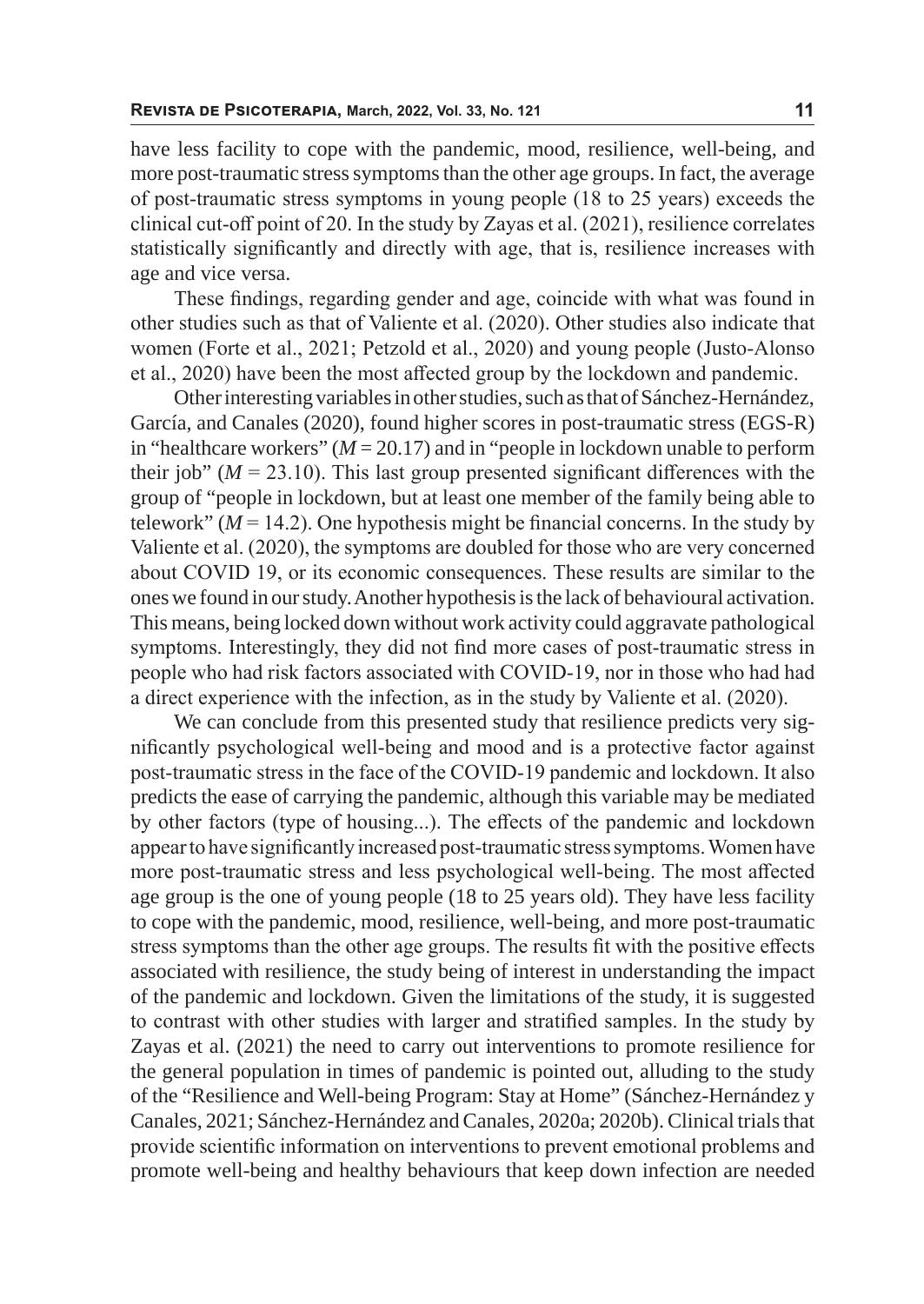have less facility to cope with the pandemic, mood, resilience, well-being, and more post-traumatic stress symptoms than the other age groups. In fact, the average of post-traumatic stress symptoms in young people (18 to 25 years) exceeds the clinical cut-off point of 20. In the study by Zayas et al. (2021), resilience correlates statistically significantly and directly with age, that is, resilience increases with age and vice versa.

These findings, regarding gender and age, coincide with what was found in other studies such as that of Valiente et al. (2020). Other studies also indicate that women (Forte et al., 2021; Petzold et al., 2020) and young people (Justo-Alonso et al., 2020) have been the most affected group by the lockdown and pandemic.

Other interesting variables in other studies, such as that of Sánchez-Hernández, García, and Canales (2020), found higher scores in post-traumatic stress (EGS-R) in "healthcare workers"  $(M = 20.17)$  and in "people in lockdown unable to perform their job" ( $M = 23.10$ ). This last group presented significant differences with the group of "people in lockdown, but at least one member of the family being able to telework"  $(M = 14.2)$ . One hypothesis might be financial concerns. In the study by Valiente et al. (2020), the symptoms are doubled for those who are very concerned about COVID 19, or its economic consequences. These results are similar to the ones we found in our study. Another hypothesis is the lack of behavioural activation. This means, being locked down without work activity could aggravate pathological symptoms. Interestingly, they did not find more cases of post-traumatic stress in people who had risk factors associated with COVID-19, nor in those who had had a direct experience with the infection, as in the study by Valiente et al. (2020).

We can conclude from this presented study that resilience predicts very significantly psychological well-being and mood and is a protective factor against post-traumatic stress in the face of the COVID-19 pandemic and lockdown. It also predicts the ease of carrying the pandemic, although this variable may be mediated by other factors (type of housing...). The effects of the pandemic and lockdown appear to have significantly increased post-traumatic stress symptoms. Women have more post-traumatic stress and less psychological well-being. The most affected age group is the one of young people (18 to 25 years old). They have less facility to cope with the pandemic, mood, resilience, well-being, and more post-traumatic stress symptoms than the other age groups. The results fit with the positive effects associated with resilience, the study being of interest in understanding the impact of the pandemic and lockdown. Given the limitations of the study, it is suggested to contrast with other studies with larger and stratified samples. In the study by Zayas et al. (2021) the need to carry out interventions to promote resilience for the general population in times of pandemic is pointed out, alluding to the study of the "Resilience and Well-being Program: Stay at Home" (Sánchez-Hernández y Canales, 2021; Sánchez-Hernández and Canales, 2020a; 2020b). Clinical trials that provide scientific information on interventions to prevent emotional problems and promote well-being and healthy behaviours that keep down infection are needed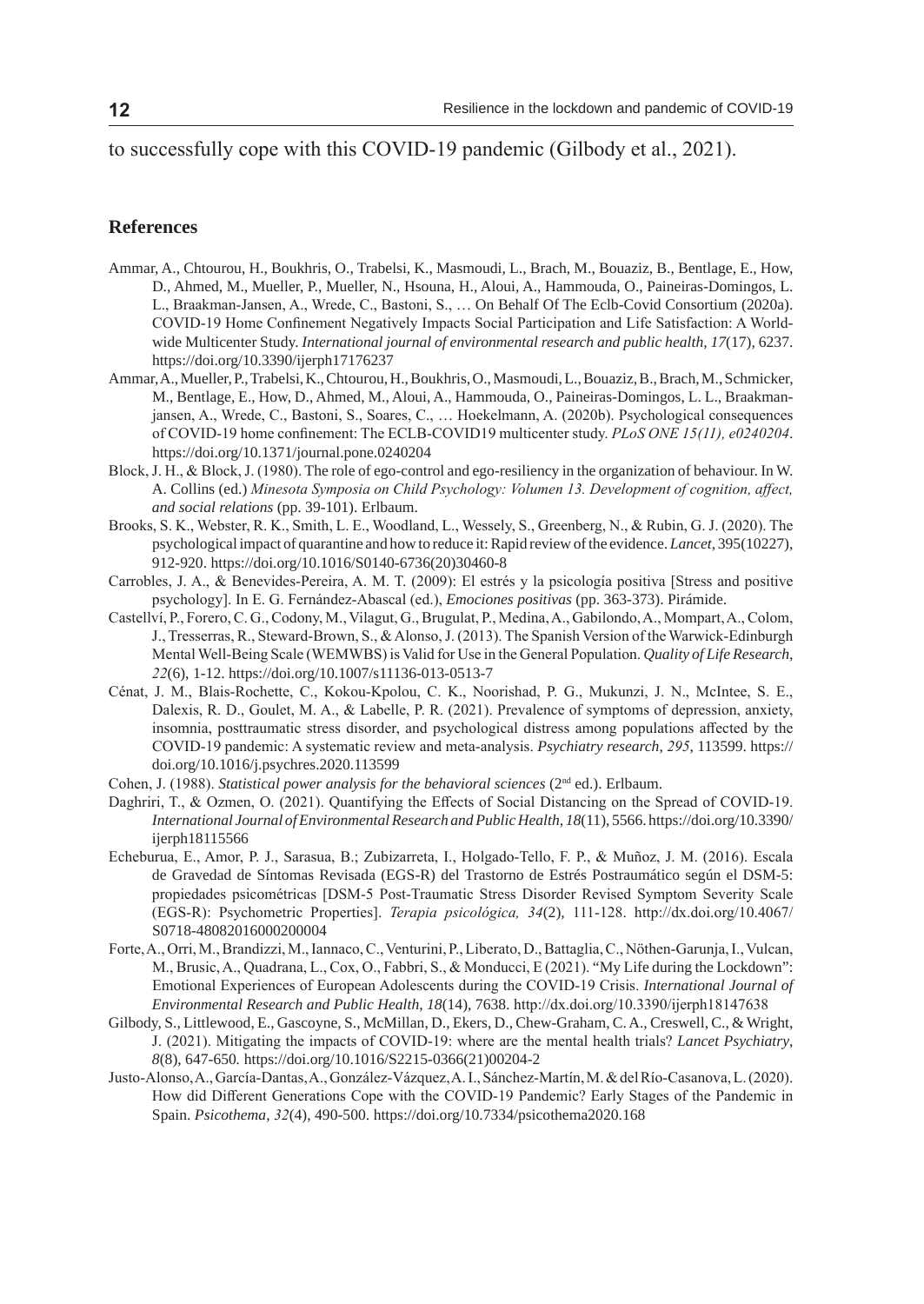to successfully cope with this COVID-19 pandemic (Gilbody et al., 2021).

### **References**

- Ammar, A., Chtourou, H., Boukhris, O., Trabelsi, K., Masmoudi, L., Brach, M., Bouaziz, B., Bentlage, E., How, D., Ahmed, M., Mueller, P., Mueller, N., Hsouna, H., Aloui, A., Hammouda, O., Paineiras-Domingos, L. L., Braakman-Jansen, A., Wrede, C., Bastoni, S., … On Behalf Of The Eclb-Covid Consortium (2020a). COVID-19 Home Confinement Negatively Impacts Social Participation and Life Satisfaction: A Worldwide Multicenter Study. *International journal of environmental research and public health, 17*(17)*,* 6237. https://doi.org/10.3390/ijerph17176237
- Ammar, A., Mueller, P., Trabelsi, K., Chtourou, H., Boukhris, O., Masmoudi, L., Bouaziz, B., Brach, M., Schmicker, M., Bentlage, E., How, D., Ahmed, M., Aloui, A., Hammouda, O., Paineiras-Domingos, L. L., Braakmanjansen, A., Wrede, C., Bastoni, S., Soares, C., … Hoekelmann, A. (2020b). Psychological consequences of COVID-19 home confinement: The ECLB-COVID19 multicenter study. *PLoS ONE 15(11), e0240204*. https://doi.org/10.1371/journal.pone.0240204
- Block, J. H., & Block, J. (1980). The role of ego-control and ego-resiliency in the organization of behaviour. In W. A. Collins (ed.) *Minesota Symposia on Child Psychology: Volumen 13. Development of cognition, affect, and social relations* (pp. 39-101). Erlbaum.
- Brooks, S. K., Webster, R. K., Smith, L. E., Woodland, L., Wessely, S., Greenberg, N., & Rubin, G. J. (2020). The psychological impact of quarantine and how to reduce it: Rapid review of the evidence. *Lancet*, 395(10227), 912-920. https://doi.org/10.1016/S0140-6736(20)30460-8
- Carrobles, J. A., & Benevides-Pereira, A. M. T. (2009): El estrés y la psicología positiva [Stress and positive psychology]. In E. G. Fernández-Abascal (ed.), *Emociones positivas* (pp. 363-373). Pirámide.
- Castellví, P., Forero, C. G., Codony, M., Vilagut, G., Brugulat, P., Medina, A., Gabilondo, A., Mompart, A., Colom, J., Tresserras, R., Steward-Brown, S., & Alonso, J. (2013). The Spanish Version of the Warwick-Edinburgh Mental Well-Being Scale (WEMWBS) is Valid for Use in the General Population. *Quality of Life Research, 22*(6), 1-12. https://doi.org/10.1007/s11136-013-0513-7
- Cénat, J. M., Blais-Rochette, C., Kokou-Kpolou, C. K., Noorishad, P. G., Mukunzi, J. N., McIntee, S. E., Dalexis, R. D., Goulet, M. A., & Labelle, P. R. (2021). Prevalence of symptoms of depression, anxiety, insomnia, posttraumatic stress disorder, and psychological distress among populations affected by the COVID-19 pandemic: A systematic review and meta-analysis. *Psychiatry research*, *295*, 113599. https:// doi.org/10.1016/j.psychres.2020.113599
- Cohen, J. (1988). *Statistical power analysis for the behavioral sciences* (2<sup>nd</sup> ed.). Erlbaum.
- Daghriri, T., & Ozmen, O. (2021). Quantifying the Effects of Social Distancing on the Spread of COVID-19. *International Journal of Environmental Research and Public Health, 18*(11), 5566. https://doi.org/10.3390/ ijerph18115566
- Echeburua, E., Amor, P. J., Sarasua, B.; Zubizarreta, I., Holgado-Tello, F. P., & Muñoz, J. M. (2016). Escala de Gravedad de Síntomas Revisada (EGS-R) del Trastorno de Estrés Postraumático según el DSM-5: propiedades psicométricas [DSM-5 Post-Traumatic Stress Disorder Revised Symptom Severity Scale (EGS-R): Psychometric Properties]. *Terapia psicológica, 34*(2)*,* 111-128. http://dx.doi.org/10.4067/ S0718-48082016000200004
- Forte, A., Orri, M., Brandizzi, M., Iannaco, C., Venturini, P., Liberato, D., Battaglia, C., Nöthen-Garunja, I., Vulcan, M., Brusic, A., Quadrana, L., Cox, O., Fabbri, S., & Monducci, E (2021). "My Life during the Lockdown": Emotional Experiences of European Adolescents during the COVID-19 Crisis. *International Journal of Environmental Research and Public Health*, *18*(14), 7638. http://dx.doi.org/10.3390/ijerph18147638
- Gilbody, S., Littlewood, E., Gascoyne, S., McMillan, D., Ekers, D., Chew-Graham, C. A., Creswell, C., & Wright, J. (2021). Mitigating the impacts of COVID-19: where are the mental health trials? *Lancet Psychiatry*, *8*(8), 647-650*.* https://doi.org/10.1016/S2215-0366(21)00204-2
- Justo-Alonso, A., García-Dantas, A., González-Vázquez, A. I., Sánchez-Martín, M. & del Río-Casanova, L. (2020). How did Different Generations Cope with the COVID-19 Pandemic? Early Stages of the Pandemic in Spain. *Psicothema*, *32*(4), 490-500. https://doi.org/10.7334/psicothema2020.168